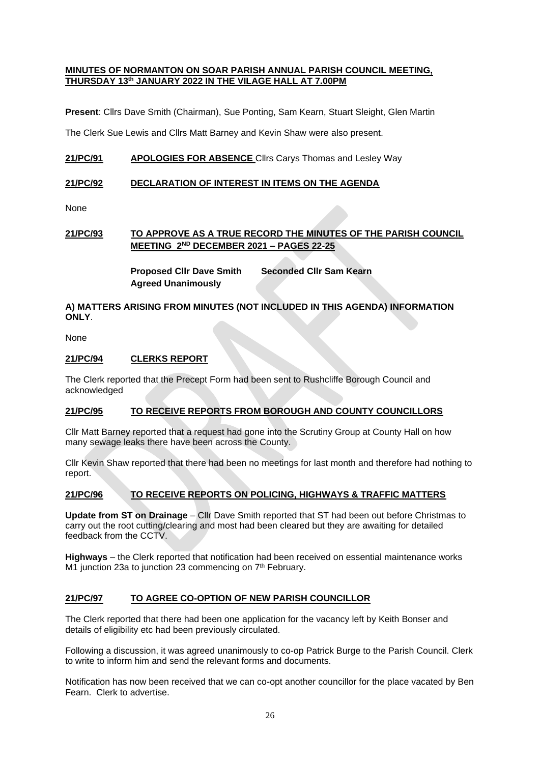#### **MINUTES OF NORMANTON ON SOAR PARISH ANNUAL PARISH COUNCIL MEETING, THURSDAY 13th JANUARY 2022 IN THE VILAGE HALL AT 7.00PM**

**Present**: Cllrs Dave Smith (Chairman), Sue Ponting, Sam Kearn, Stuart Sleight, Glen Martin

The Clerk Sue Lewis and Cllrs Matt Barney and Kevin Shaw were also present.

# **21/PC/91 APOLOGIES FOR ABSENCE** Cllrs Carys Thomas and Lesley Way

## **21/PC/92 DECLARATION OF INTEREST IN ITEMS ON THE AGENDA**

None

# **21/PC/93 TO APPROVE AS A TRUE RECORD THE MINUTES OF THE PARISH COUNCIL MEETING 2ND DECEMBER 2021 – PAGES 22-25**

**Proposed Cllr Dave Smith Seconded Cllr Sam Kearn Agreed Unanimously**

## **A) MATTERS ARISING FROM MINUTES (NOT INCLUDED IN THIS AGENDA) INFORMATION ONLY**.

None

## **21/PC/94 CLERKS REPORT**

The Clerk reported that the Precept Form had been sent to Rushcliffe Borough Council and acknowledged

# **21/PC/95 TO RECEIVE REPORTS FROM BOROUGH AND COUNTY COUNCILLORS**

Cllr Matt Barney reported that a request had gone into the Scrutiny Group at County Hall on how many sewage leaks there have been across the County.

Cllr Kevin Shaw reported that there had been no meetings for last month and therefore had nothing to report.

## **21/PC/96 TO RECEIVE REPORTS ON POLICING, HIGHWAYS & TRAFFIC MATTERS**

**Update from ST on Drainage** – Cllr Dave Smith reported that ST had been out before Christmas to carry out the root cutting/clearing and most had been cleared but they are awaiting for detailed feedback from the CCTV.

**Highways** – the Clerk reported that notification had been received on essential maintenance works M1 junction 23a to junction 23 commencing on  $7<sup>th</sup>$  February.

## **21/PC/97 TO AGREE CO-OPTION OF NEW PARISH COUNCILLOR**

The Clerk reported that there had been one application for the vacancy left by Keith Bonser and details of eligibility etc had been previously circulated.

Following a discussion, it was agreed unanimously to co-op Patrick Burge to the Parish Council. Clerk to write to inform him and send the relevant forms and documents.

Notification has now been received that we can co-opt another councillor for the place vacated by Ben Fearn. Clerk to advertise.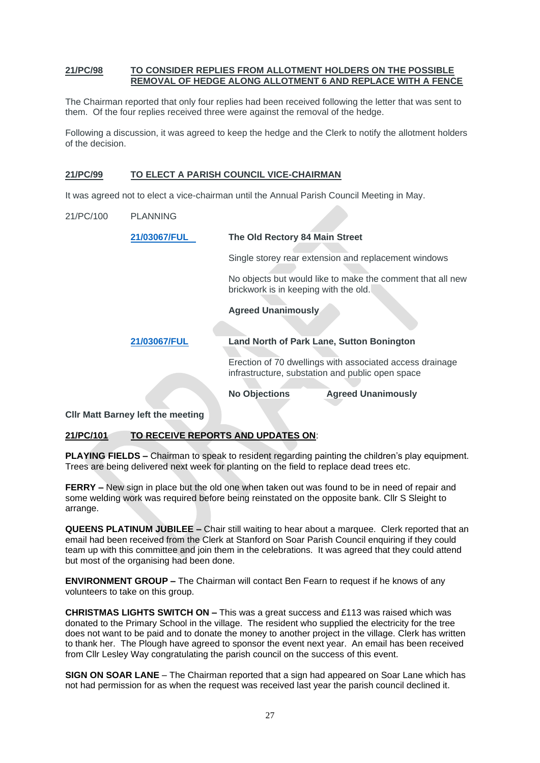#### **21/PC/98 TO CONSIDER REPLIES FROM ALLOTMENT HOLDERS ON THE POSSIBLE REMOVAL OF HEDGE ALONG ALLOTMENT 6 AND REPLACE WITH A FENCE**

The Chairman reported that only four replies had been received following the letter that was sent to them. Of the four replies received three were against the removal of the hedge.

Following a discussion, it was agreed to keep the hedge and the Clerk to notify the allotment holders of the decision.

### **21/PC/99 TO ELECT A PARISH COUNCIL VICE-CHAIRMAN**

It was agreed not to elect a vice-chairman until the Annual Parish Council Meeting in May.

21/PC/100 PLANNING

| 21/03067/FUL | The Old Rectory 84 Main Street                                                                               |  |
|--------------|--------------------------------------------------------------------------------------------------------------|--|
|              | Single storey rear extension and replacement windows                                                         |  |
|              | No objects but would like to make the comment that all new<br>brickwork is in keeping with the old.          |  |
|              | <b>Agreed Unanimously</b>                                                                                    |  |
|              |                                                                                                              |  |
| 21/03067/FUL | <b>Land North of Park Lane, Sutton Bonington</b>                                                             |  |
|              | Erection of 70 dwellings with associated access drainage<br>infrastructure, substation and public open space |  |
|              | <b>No Objections</b><br><b>Agreed Unanimously</b>                                                            |  |

**Cllr Matt Barney left the meeting**

## **21/PC/101 TO RECEIVE REPORTS AND UPDATES ON**:

**PLAYING FIELDS –** Chairman to speak to resident regarding painting the children's play equipment. Trees are being delivered next week for planting on the field to replace dead trees etc.

**FERRY –** New sign in place but the old one when taken out was found to be in need of repair and some welding work was required before being reinstated on the opposite bank. Cllr S Sleight to arrange.

**QUEENS PLATINUM JUBILEE –** Chair still waiting to hear about a marquee. Clerk reported that an email had been received from the Clerk at Stanford on Soar Parish Council enquiring if they could team up with this committee and join them in the celebrations. It was agreed that they could attend but most of the organising had been done.

**ENVIRONMENT GROUP –** The Chairman will contact Ben Fearn to request if he knows of any volunteers to take on this group.

**CHRISTMAS LIGHTS SWITCH ON –** This was a great success and £113 was raised which was donated to the Primary School in the village. The resident who supplied the electricity for the tree does not want to be paid and to donate the money to another project in the village. Clerk has written to thank her. The Plough have agreed to sponsor the event next year. An email has been received from Cllr Lesley Way congratulating the parish council on the success of this event.

**SIGN ON SOAR LANE** – The Chairman reported that a sign had appeared on Soar Lane which has not had permission for as when the request was received last year the parish council declined it.